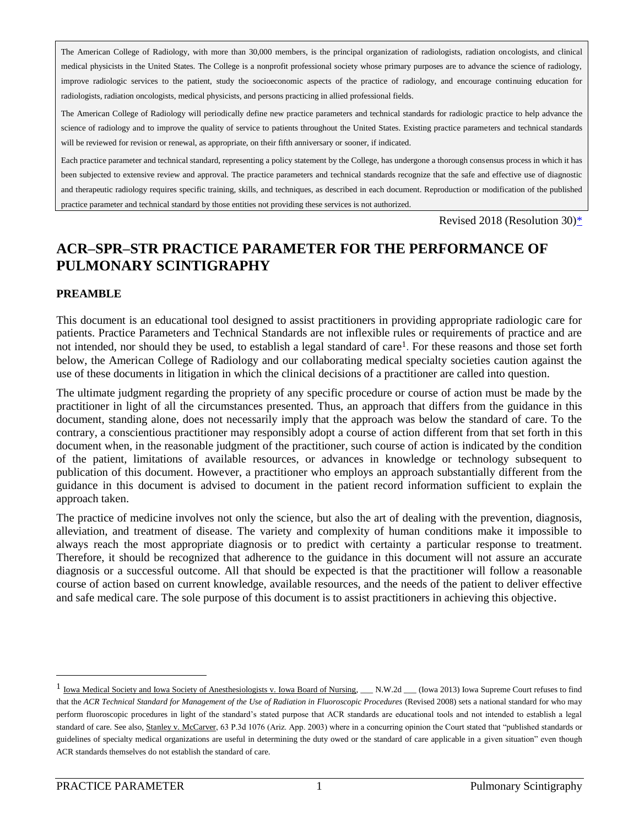The American College of Radiology, with more than 30,000 members, is the principal organization of radiologists, radiation oncologists, and clinical medical physicists in the United States. The College is a nonprofit professional society whose primary purposes are to advance the science of radiology, improve radiologic services to the patient, study the socioeconomic aspects of the practice of radiology, and encourage continuing education for radiologists, radiation oncologists, medical physicists, and persons practicing in allied professional fields.

The American College of Radiology will periodically define new practice parameters and technical standards for radiologic practice to help advance the science of radiology and to improve the quality of service to patients throughout the United States. Existing practice parameters and technical standards will be reviewed for revision or renewal, as appropriate, on their fifth anniversary or sooner, if indicated.

Each practice parameter and technical standard, representing a policy statement by the College, has undergone a thorough consensus process in which it has been subjected to extensive review and approval. The practice parameters and technical standards recognize that the safe and effective use of diagnostic and therapeutic radiology requires specific training, skills, and techniques, as described in each document. Reproduction or modification of the published practice parameter and technical standard by those entities not providing these services is not authorized.

Revised 2018 (Resolution 30[\)\\*](#page-8-0)

# **ACR–SPR–STR PRACTICE PARAMETER FOR THE PERFORMANCE OF PULMONARY SCINTIGRAPHY**

#### **PREAMBLE**

This document is an educational tool designed to assist practitioners in providing appropriate radiologic care for patients. Practice Parameters and Technical Standards are not inflexible rules or requirements of practice and are not intended, nor should they be used, to establish a legal standard of care<sup>1</sup>. For these reasons and those set forth below, the American College of Radiology and our collaborating medical specialty societies caution against the use of these documents in litigation in which the clinical decisions of a practitioner are called into question.

The ultimate judgment regarding the propriety of any specific procedure or course of action must be made by the practitioner in light of all the circumstances presented. Thus, an approach that differs from the guidance in this document, standing alone, does not necessarily imply that the approach was below the standard of care. To the contrary, a conscientious practitioner may responsibly adopt a course of action different from that set forth in this document when, in the reasonable judgment of the practitioner, such course of action is indicated by the condition of the patient, limitations of available resources, or advances in knowledge or technology subsequent to publication of this document. However, a practitioner who employs an approach substantially different from the guidance in this document is advised to document in the patient record information sufficient to explain the approach taken.

The practice of medicine involves not only the science, but also the art of dealing with the prevention, diagnosis, alleviation, and treatment of disease. The variety and complexity of human conditions make it impossible to always reach the most appropriate diagnosis or to predict with certainty a particular response to treatment. Therefore, it should be recognized that adherence to the guidance in this document will not assure an accurate diagnosis or a successful outcome. All that should be expected is that the practitioner will follow a reasonable course of action based on current knowledge, available resources, and the needs of the patient to deliver effective and safe medical care. The sole purpose of this document is to assist practitioners in achieving this objective.

 $\overline{a}$ 

<sup>&</sup>lt;sup>1</sup> Iowa Medical Society and Iowa Society of Anesthesiologists v. Iowa Board of Nursing, \_\_\_ N.W.2d \_\_\_ (Iowa 2013) Iowa Supreme Court refuses to find that the *ACR Technical Standard for Management of the Use of Radiation in Fluoroscopic Procedures* (Revised 2008) sets a national standard for who may perform fluoroscopic procedures in light of the standard's stated purpose that ACR standards are educational tools and not intended to establish a legal standard of care. See also, Stanley v. McCarver, 63 P.3d 1076 (Ariz. App. 2003) where in a concurring opinion the Court stated that "published standards or guidelines of specialty medical organizations are useful in determining the duty owed or the standard of care applicable in a given situation" even though ACR standards themselves do not establish the standard of care.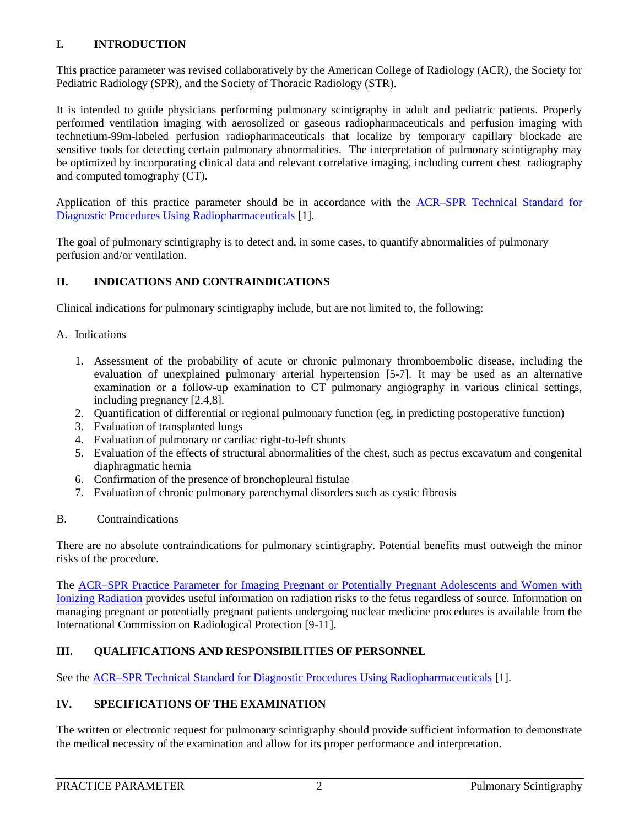## **I. INTRODUCTION**

This practice parameter was revised collaboratively by the American College of Radiology (ACR), the Society for Pediatric Radiology (SPR), and the Society of Thoracic Radiology (STR).

It is intended to guide physicians performing pulmonary scintigraphy in adult and pediatric patients. Properly performed ventilation imaging with aerosolized or gaseous radiopharmaceuticals and perfusion imaging with technetium-99m-labeled perfusion radiopharmaceuticals that localize by temporary capillary blockade are sensitive tools for detecting certain pulmonary abnormalities. The interpretation of pulmonary scintigraphy may be optimized by incorporating clinical data and relevant correlative imaging, including current chest radiography and computed tomography (CT).

Application of this practice parameter should be in accordance with the ACR–SPR Technical [Standard for](https://www.acr.org/-/media/ACR/Files/Practice-Parameters/RadioPharm.pdf)  [Diagnostic Procedures Using Radiopharmaceuticals](https://www.acr.org/-/media/ACR/Files/Practice-Parameters/RadioPharm.pdf) [\[1\]](#page-7-0).

The goal of pulmonary scintigraphy is to detect and, in some cases, to quantify abnormalities of pulmonary perfusion and/or ventilation.

## **II. INDICATIONS AND CONTRAINDICATIONS**

Clinical indications for pulmonary scintigraphy include, but are not limited to, the following:

- A. Indications
	- 1. Assessment of the probability of acute or chronic pulmonary thromboembolic disease, including the evaluation of unexplained pulmonary arterial hypertension [\[5-7\]](#page-7-1). It may be used as an alternative examination or a follow-up examination to CT pulmonary angiography in various clinical settings, including pregnancy [\[2](#page-7-2)[,4,](#page-7-3)[8\]](#page-7-4).
	- 2. Quantification of differential or regional pulmonary function (eg, in predicting postoperative function)
	- 3. Evaluation of transplanted lungs
	- 4. Evaluation of pulmonary or cardiac right-to-left shunts
	- 5. Evaluation of the effects of structural abnormalities of the chest, such as pectus excavatum and congenital diaphragmatic hernia
	- 6. Confirmation of the presence of bronchopleural fistulae
	- 7. Evaluation of chronic pulmonary parenchymal disorders such as cystic fibrosis
- B. Contraindications

There are no absolute contraindications for pulmonary scintigraphy. Potential benefits must outweigh the minor risks of the procedure.

The [ACR–SPR Practice Parameter for Imaging Pregnant or Potentially Pregnant Adolescents and Women with](https://www.acr.org/-/media/ACR/Files/Practice-Parameters/Pregnant-Pts.pdf)  [Ionizing Radiation](https://www.acr.org/-/media/ACR/Files/Practice-Parameters/Pregnant-Pts.pdf) provides useful information on radiation risks to the fetus regardless of source. Information on managing pregnant or potentially pregnant patients undergoing nuclear medicine procedures is available from the International Commission on Radiological Protection [\[9-11\]](#page-7-5).

#### **III. QUALIFICATIONS AND RESPONSIBILITIES OF PERSONNEL**

See the ACR–SPR Technical [Standard for Diagnostic Procedures Using Radiopharmaceuticals](https://www.acr.org/-/media/ACR/Files/Practice-Parameters/RadioPharm.pdf) [\[1\]](#page-7-0).

#### **IV. SPECIFICATIONS OF THE EXAMINATION**

The written or electronic request for pulmonary scintigraphy should provide sufficient information to demonstrate the medical necessity of the examination and allow for its proper performance and interpretation.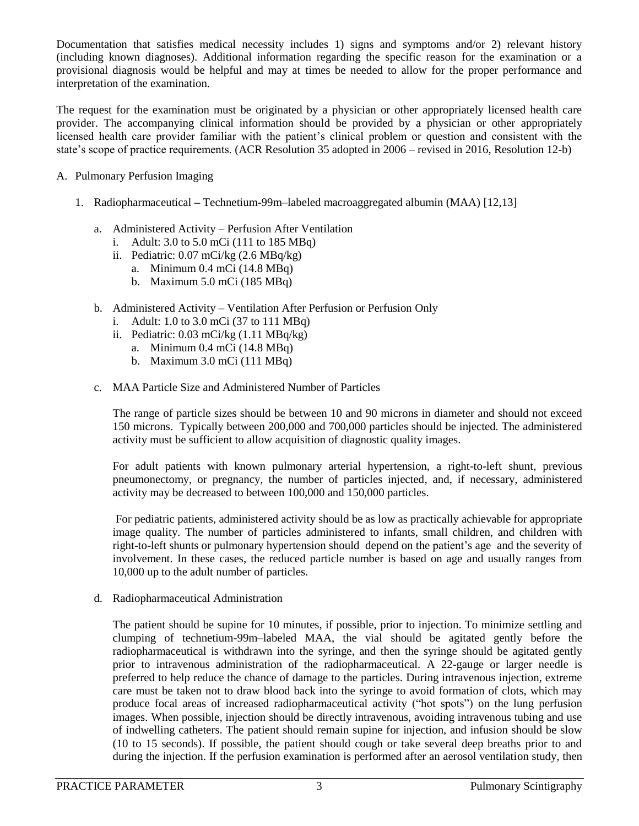Documentation that satisfies medical necessity includes 1) signs and symptoms and/or 2) relevant history (including known diagnoses). Additional information regarding the specific reason for the examination or a provisional diagnosis would be helpful and may at times be needed to allow for the proper performance and interpretation of the examination.

The request for the examination must be originated by a physician or other appropriately licensed health care provider. The accompanying clinical information should be provided by a physician or other appropriately licensed health care provider familiar with the patient's clinical problem or question and consistent with the state's scope of practice requirements. (ACR Resolution 35 adopted in 2006 – revised in 2016, Resolution 12-b)

#### A. Pulmonary Perfusion Imaging

- 1. Radiopharmaceutical **–** Technetium-99m–labeled macroaggregated albumin (MAA) [\[12](#page-7-6)[,13\]](#page-7-7)
	- a. Administered Activity Perfusion After Ventilation
		- i. Adult: 3.0 to 5.0 mCi (111 to 185 MBq)
		- ii. Pediatric: 0.07 mCi/kg (2.6 MBq/kg)
			- a. Minimum 0.4 mCi (14.8 MBq)
				- b. Maximum 5.0 mCi (185 MBq)
	- b. Administered Activity Ventilation After Perfusion or Perfusion Only
		- i. Adult: 1.0 to 3.0 mCi (37 to 111 MBq)
		- ii. Pediatric: 0.03 mCi/kg (1.11 MBq/kg)
			- a. Minimum 0.4 mCi (14.8 MBq)
			- b. Maximum 3.0 mCi (111 MBq)
	- c. MAA Particle Size and Administered Number of Particles

The range of particle sizes should be between 10 and 90 microns in diameter and should not exceed 150 microns. Typically between 200,000 and 700,000 particles should be injected. The administered activity must be sufficient to allow acquisition of diagnostic quality images.

For adult patients with known pulmonary arterial hypertension, a right-to-left shunt, previous pneumonectomy, or pregnancy, the number of particles injected, and, if necessary, administered activity may be decreased to between 100,000 and 150,000 particles.

For pediatric patients, administered activity should be as low as practically achievable for appropriate image quality. The number of particles administered to infants, small children, and children with right-to-left shunts or pulmonary hypertension should depend on the patient's age and the severity of involvement. In these cases, the reduced particle number is based on age and usually ranges from 10,000 up to the adult number of particles.

d. Radiopharmaceutical Administration

The patient should be supine for 10 minutes, if possible, prior to injection. To minimize settling and clumping of technetium-99m–labeled MAA, the vial should be agitated gently before the radiopharmaceutical is withdrawn into the syringe, and then the syringe should be agitated gently prior to intravenous administration of the radiopharmaceutical. A 22-gauge or larger needle is preferred to help reduce the chance of damage to the particles. During intravenous injection, extreme care must be taken not to draw blood back into the syringe to avoid formation of clots, which may produce focal areas of increased radiopharmaceutical activity ("hot spots") on the lung perfusion images. When possible, injection should be directly intravenous, avoiding intravenous tubing and use of indwelling catheters. The patient should remain supine for injection, and infusion should be slow (10 to 15 seconds). If possible, the patient should cough or take several deep breaths prior to and during the injection. If the perfusion examination is performed after an aerosol ventilation study, then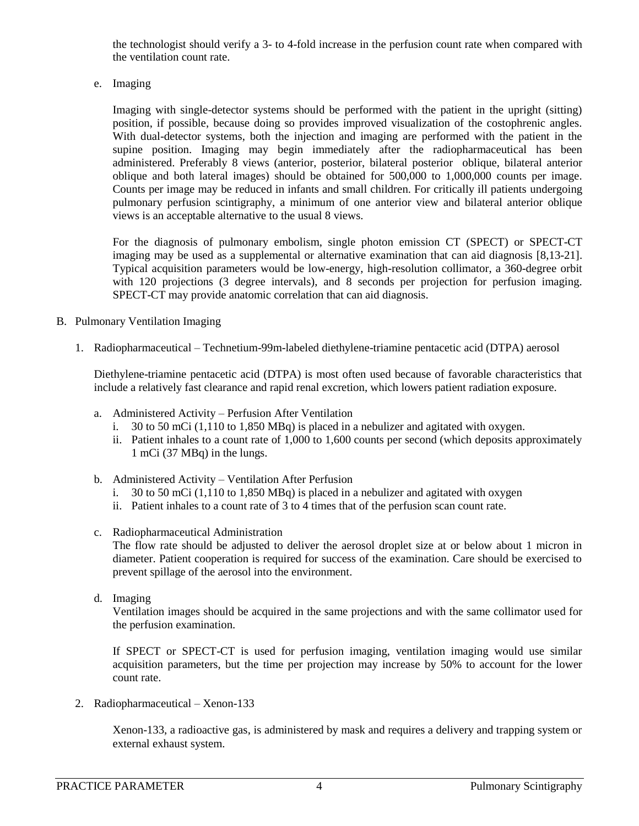the technologist should verify a 3- to 4-fold increase in the perfusion count rate when compared with the ventilation count rate.

e. Imaging

Imaging with single-detector systems should be performed with the patient in the upright (sitting) position, if possible, because doing so provides improved visualization of the costophrenic angles. With dual-detector systems, both the injection and imaging are performed with the patient in the supine position. Imaging may begin immediately after the radiopharmaceutical has been administered. Preferably 8 views (anterior, posterior, bilateral posterior oblique, bilateral anterior oblique and both lateral images) should be obtained for 500,000 to 1,000,000 counts per image. Counts per image may be reduced in infants and small children. For critically ill patients undergoing pulmonary perfusion scintigraphy, a minimum of one anterior view and bilateral anterior oblique views is an acceptable alternative to the usual 8 views.

For the diagnosis of pulmonary embolism, single photon emission CT (SPECT) or SPECT-CT imaging may be used as a supplemental or alternative examination that can aid diagnosis [\[8](#page-7-4)[,13-21\]](#page-7-7). Typical acquisition parameters would be low-energy, high-resolution collimator, a 360-degree orbit with 120 projections (3 degree intervals), and 8 seconds per projection for perfusion imaging. SPECT-CT may provide anatomic correlation that can aid diagnosis.

- B. Pulmonary Ventilation Imaging
	- 1. Radiopharmaceutical Technetium-99m-labeled diethylene-triamine pentacetic acid (DTPA) aerosol

Diethylene-triamine pentacetic acid (DTPA) is most often used because of favorable characteristics that include a relatively fast clearance and rapid renal excretion, which lowers patient radiation exposure.

- a. Administered Activity Perfusion After Ventilation
	- i. 30 to 50 mCi (1,110 to 1,850 MBq) is placed in a nebulizer and agitated with oxygen.
	- ii. Patient inhales to a count rate of 1,000 to 1,600 counts per second (which deposits approximately 1 mCi (37 MBq) in the lungs.
- b. Administered Activity Ventilation After Perfusion
	- i. 30 to 50 mCi (1,110 to 1,850 MBq) is placed in a nebulizer and agitated with oxygen
	- ii. Patient inhales to a count rate of 3 to 4 times that of the perfusion scan count rate.
- c. Radiopharmaceutical Administration

The flow rate should be adjusted to deliver the aerosol droplet size at or below about 1 micron in diameter. Patient cooperation is required for success of the examination. Care should be exercised to prevent spillage of the aerosol into the environment.

d. Imaging

Ventilation images should be acquired in the same projections and with the same collimator used for the perfusion examination.

If SPECT or SPECT-CT is used for perfusion imaging, ventilation imaging would use similar acquisition parameters, but the time per projection may increase by 50% to account for the lower count rate.

2. Radiopharmaceutical – Xenon-133

Xenon-133, a radioactive gas, is administered by mask and requires a delivery and trapping system or external exhaust system.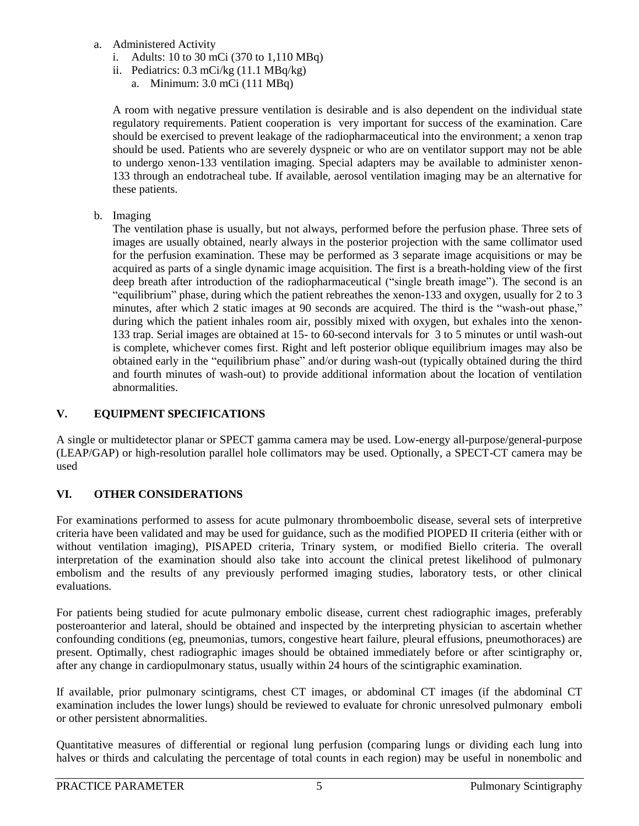- a. Administered Activity
	- i. Adults: 10 to 30 mCi (370 to 1,110 MBq)
	- ii. Pediatrics: 0.3 mCi/kg (11.1 MBq/kg)
		- a. Minimum: 3.0 mCi (111 MBq)

A room with negative pressure ventilation is desirable and is also dependent on the individual state regulatory requirements. Patient cooperation is very important for success of the examination. Care should be exercised to prevent leakage of the radiopharmaceutical into the environment; a xenon trap should be used. Patients who are severely dyspneic or who are on ventilator support may not be able to undergo xenon-133 ventilation imaging. Special adapters may be available to administer xenon-133 through an endotracheal tube. If available, aerosol ventilation imaging may be an alternative for these patients.

b. Imaging

The ventilation phase is usually, but not always, performed before the perfusion phase. Three sets of images are usually obtained, nearly always in the posterior projection with the same collimator used for the perfusion examination. These may be performed as 3 separate image acquisitions or may be acquired as parts of a single dynamic image acquisition. The first is a breath-holding view of the first deep breath after introduction of the radiopharmaceutical ("single breath image"). The second is an "equilibrium" phase, during which the patient rebreathes the xenon-133 and oxygen, usually for 2 to 3 minutes, after which 2 static images at 90 seconds are acquired. The third is the "wash-out phase," during which the patient inhales room air, possibly mixed with oxygen, but exhales into the xenon-133 trap. Serial images are obtained at 15- to 60-second intervals for 3 to 5 minutes or until wash-out is complete, whichever comes first. Right and left posterior oblique equilibrium images may also be obtained early in the "equilibrium phase" and/or during wash-out (typically obtained during the third and fourth minutes of wash-out) to provide additional information about the location of ventilation abnormalities.

## **V. EQUIPMENT SPECIFICATIONS**

A single or multidetector planar or SPECT gamma camera may be used. Low-energy all-purpose/general-purpose (LEAP/GAP) or high-resolution parallel hole collimators may be used. Optionally, a SPECT-CT camera may be used

## **VI. OTHER CONSIDERATIONS**

For examinations performed to assess for acute pulmonary thromboembolic disease, several sets of interpretive criteria have been validated and may be used for guidance, such as the modified PIOPED II criteria (either with or without ventilation imaging), PISAPED criteria, Trinary system, or modified Biello criteria. The overall interpretation of the examination should also take into account the clinical pretest likelihood of pulmonary embolism and the results of any previously performed imaging studies, laboratory tests, or other clinical evaluations.

For patients being studied for acute pulmonary embolic disease, current chest radiographic images, preferably posteroanterior and lateral, should be obtained and inspected by the interpreting physician to ascertain whether confounding conditions (eg, pneumonias, tumors, congestive heart failure, pleural effusions, pneumothoraces) are present. Optimally, chest radiographic images should be obtained immediately before or after scintigraphy or, after any change in cardiopulmonary status, usually within 24 hours of the scintigraphic examination.

If available, prior pulmonary scintigrams, chest CT images, or abdominal CT images (if the abdominal CT examination includes the lower lungs) should be reviewed to evaluate for chronic unresolved pulmonary emboli or other persistent abnormalities.

Quantitative measures of differential or regional lung perfusion (comparing lungs or dividing each lung into halves or thirds and calculating the percentage of total counts in each region) may be useful in nonembolic and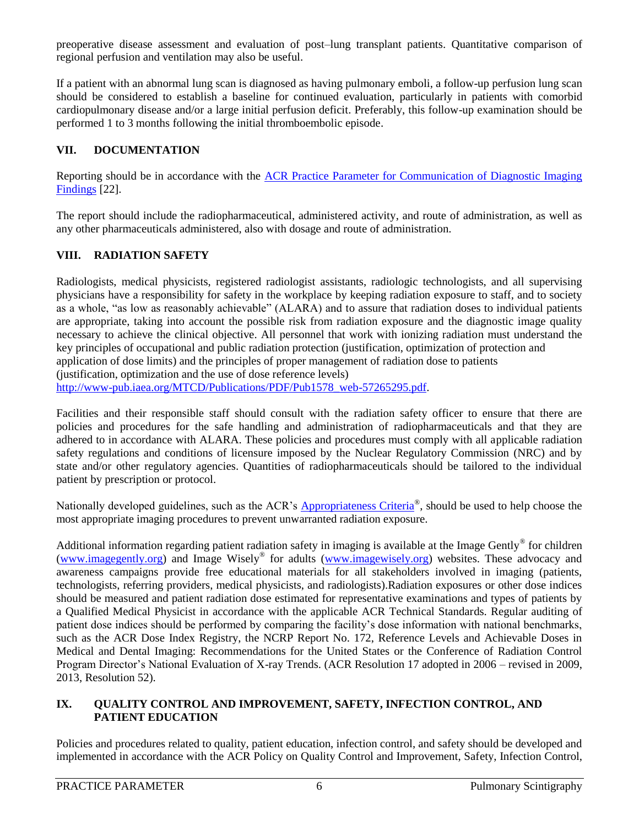preoperative disease assessment and evaluation of post–lung transplant patients. Quantitative comparison of regional perfusion and ventilation may also be useful.

If a patient with an abnormal lung scan is diagnosed as having pulmonary emboli, a follow-up perfusion lung scan should be considered to establish a baseline for continued evaluation, particularly in patients with comorbid cardiopulmonary disease and/or a large initial perfusion deficit. Preferably, this follow-up examination should be performed 1 to 3 months following the initial thromboembolic episode.

## **VII. DOCUMENTATION**

Reporting should be in accordance with the [ACR Practice Parameter for Communication of Diagnostic Imaging](https://www.acr.org/-/media/ACR/Files/Practice-Parameters/CommunicationDiag.pdf)  [Findings](https://www.acr.org/-/media/ACR/Files/Practice-Parameters/CommunicationDiag.pdf) [\[22\]](#page-8-1).

The report should include the radiopharmaceutical, administered activity, and route of administration, as well as any other pharmaceuticals administered, also with dosage and route of administration.

## **VIII. RADIATION SAFETY**

Radiologists, medical physicists, registered radiologist assistants, radiologic technologists, and all supervising physicians have a responsibility for safety in the workplace by keeping radiation exposure to staff, and to society as a whole, "as low as reasonably achievable" (ALARA) and to assure that radiation doses to individual patients are appropriate, taking into account the possible risk from radiation exposure and the diagnostic image quality necessary to achieve the clinical objective. All personnel that work with ionizing radiation must understand the key principles of occupational and public radiation protection (justification, optimization of protection and application of dose limits) and the principles of proper management of radiation dose to patients (justification, optimization and the use of dose reference levels) [http://www-pub.iaea.org/MTCD/Publications/PDF/Pub1578\\_web-57265295.pdf.](http://www-pub.iaea.org/MTCD/Publications/PDF/Pub1578_web-57265295.pdf)

Facilities and their responsible staff should consult with the radiation safety officer to ensure that there are policies and procedures for the safe handling and administration of radiopharmaceuticals and that they are adhered to in accordance with ALARA. These policies and procedures must comply with all applicable radiation safety regulations and conditions of licensure imposed by the Nuclear Regulatory Commission (NRC) and by state and/or other regulatory agencies. Quantities of radiopharmaceuticals should be tailored to the individual patient by prescription or protocol.

Nationally developed guidelines, such as the ACR's **Appropriateness Criteria**®, should be used to help choose the most appropriate imaging procedures to prevent unwarranted radiation exposure.

Additional information regarding patient radiation safety in imaging is available at the Image Gently® for children [\(www.imagegently.org\)](http://www.imagegently.org/) and Image Wisely® for adults [\(www.imagewisely.org\)](http://www.imagewisely.org/) websites. These advocacy and awareness campaigns provide free educational materials for all stakeholders involved in imaging (patients, technologists, referring providers, medical physicists, and radiologists).Radiation exposures or other dose indices should be measured and patient radiation dose estimated for representative examinations and types of patients by a Qualified Medical Physicist in accordance with the applicable ACR Technical Standards. Regular auditing of patient dose indices should be performed by comparing the facility's dose information with national benchmarks, such as the ACR Dose Index Registry, the NCRP Report No. 172, Reference Levels and Achievable Doses in Medical and Dental Imaging: Recommendations for the United States or the Conference of Radiation Control Program Director's National Evaluation of X-ray Trends. (ACR Resolution 17 adopted in 2006 – revised in 2009, 2013, Resolution 52).

## **IX. QUALITY CONTROL AND IMPROVEMENT, SAFETY, INFECTION CONTROL, AND PATIENT EDUCATION**

Policies and procedures related to quality, patient education, infection control, and safety should be developed and implemented in accordance with the ACR Policy on Quality Control and Improvement, Safety, Infection Control,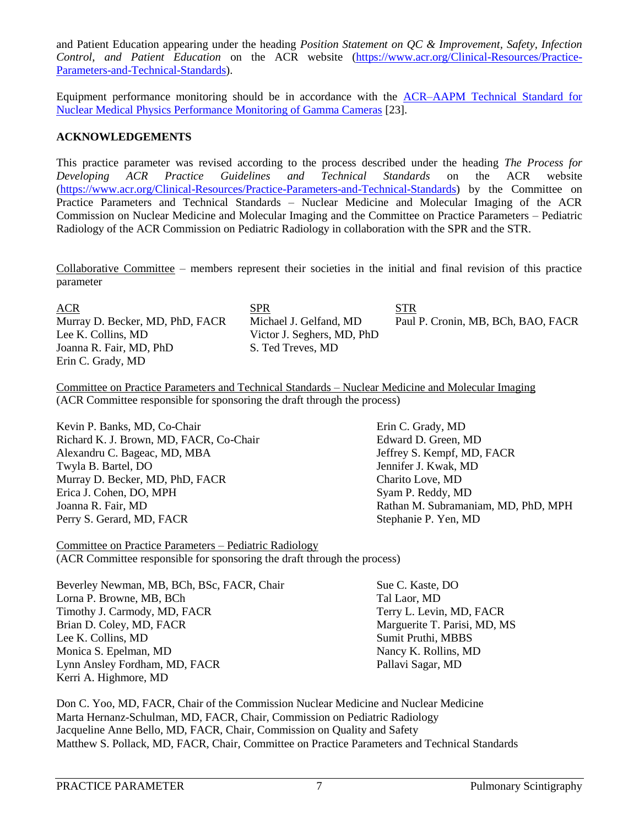and Patient Education appearing under the heading *Position Statement on QC & Improvement, Safety, Infection Control*, *and Patient Education* on the ACR website [\(https://www.acr.org/Clinical-Resources/Practice-](https://www.acr.org/Clinical-Resources/Practice-Parameters-and-Technical-Standards)[Parameters-and-Technical-Standards\)](https://www.acr.org/Clinical-Resources/Practice-Parameters-and-Technical-Standards).

Equipment performance monitoring should be in accordance with the [ACR–AAPM Technical Standard for](https://www.acr.org/-/media/ACR/Files/Practice-Parameters/Gamma-Cam.pdf)  [Nuclear Medical Physics Performance Monitoring of Gamma Cameras](https://www.acr.org/-/media/ACR/Files/Practice-Parameters/Gamma-Cam.pdf) [\[23\]](#page-8-2).

#### **ACKNOWLEDGEMENTS**

This practice parameter was revised according to the process described under the heading *The Process for Developing ACR Practice Guidelines and Technical Standards* on the ACR website [\(https://www.acr.org/Clinical-Resources/Practice-Parameters-and-Technical-Standards\)](https://www.acr.org/Clinical-Resources/Practice-Parameters-and-Technical-Standards) by the Committee on Practice Parameters and Technical Standards – Nuclear Medicine and Molecular Imaging of the ACR Commission on Nuclear Medicine and Molecular Imaging and the Committee on Practice Parameters – Pediatric Radiology of the ACR Commission on Pediatric Radiology in collaboration with the SPR and the STR.

Collaborative Committee – members represent their societies in the initial and final revision of this practice parameter

Lee K. Collins, MD Victor J. Seghers, MD, PhD Joanna R. Fair, MD, PhD S. Ted Treves, MD Erin C. Grady, MD

ACR SPR STR

Murray D. Becker, MD, PhD, FACR Michael J. Gelfand, MD Paul P. Cronin, MB, BCh, BAO, FACR

Committee on Practice Parameters and Technical Standards – Nuclear Medicine and Molecular Imaging (ACR Committee responsible for sponsoring the draft through the process)

Kevin P. Banks, MD, Co-Chair **Example 20** Erin C. Grady, MD Richard K. J. Brown, MD, FACR, Co-Chair Edward D. Green, MD Alexandru C. Bageac, MD, MBA Jeffrey S. Kempf, MD, FACR Twyla B. Bartel, DO Jennifer J. Kwak, MD Murray D. Becker, MD, PhD, FACR Charito Love, MD Erica J. Cohen, DO, MPH Syam P. Reddy, MD Joanna R. Fair, MD **Rathan M. Subramaniam, MD, PhD, MPH** Perry S. Gerard, MD, FACR Stephanie P. Yen, MD

Committee on Practice Parameters – Pediatric Radiology (ACR Committee responsible for sponsoring the draft through the process)

Beverley Newman, MB, BCh, BSc, FACR, Chair Sue C. Kaste, DO Lorna P. Browne, MB, BCh Tal Laor, MD Timothy J. Carmody, MD, FACR Terry L. Levin, MD, FACR Brian D. Coley, MD, FACR Marguerite T. Parisi, MD, MS Lee K. Collins, MD Sumit Pruthi, MBBS Monica S. Epelman, MD Nancy K. Rollins, MD Lynn Ansley Fordham, MD, FACR Pallavi Sagar, MD Kerri A. Highmore, MD

Don C. Yoo, MD, FACR, Chair of the Commission Nuclear Medicine and Nuclear Medicine Marta Hernanz-Schulman, MD, FACR, Chair, Commission on Pediatric Radiology Jacqueline Anne Bello, MD, FACR, Chair, Commission on Quality and Safety Matthew S. Pollack, MD, FACR, Chair, Committee on Practice Parameters and Technical Standards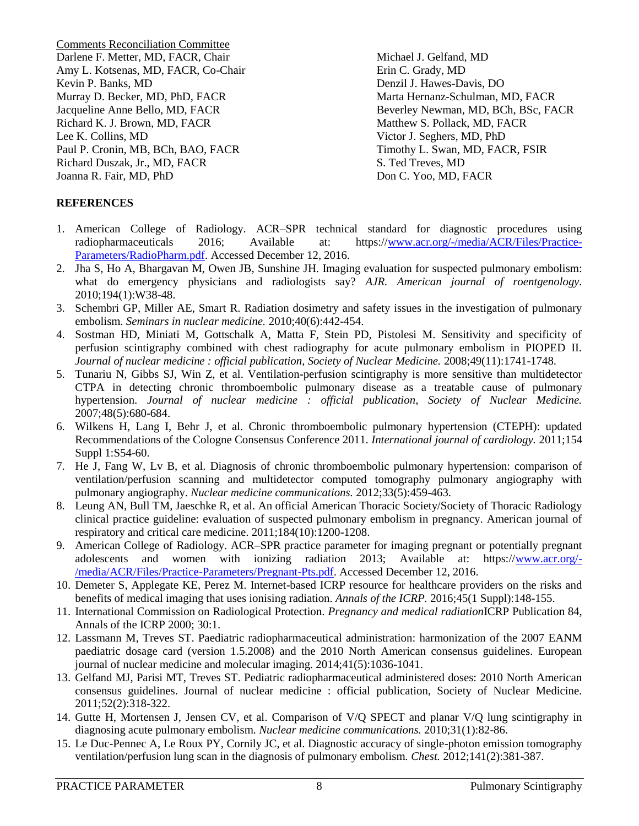Comments Reconciliation Committee Darlene F. Metter, MD, FACR, Chair Michael J. Gelfand, MD Amy L. Kotsenas, MD, FACR, Co-Chair Erin C. Grady, MD Kevin P. Banks, MD Denzil J. Hawes-Davis, DO Murray D. Becker, MD, PhD, FACR Marta Hernanz-Schulman, MD, FACR Richard K. J. Brown, MD, FACR Matthew S. Pollack, MD, FACR Lee K. Collins, MD Victor J. Seghers, MD, PhD Paul P. Cronin, MB, BCh, BAO, FACR Timothy L. Swan, MD, FACR, FSIR Richard Duszak, Jr., MD, FACR S. Ted Treves, MD Joanna R. Fair, MD, PhD Don C. Yoo, MD, FACR

Jacqueline Anne Bello, MD, FACR Beverley Newman, MD, BCh, BSc, FACR

#### **REFERENCES**

- <span id="page-7-0"></span>1. American College of Radiology. ACR–SPR technical standard for diagnostic procedures using radiopharmaceuticals 2016; Available at: https:/[/www.acr.org/-/media/ACR/Files/Practice-](http://www.acr.org/-/media/ACR/Files/Practice-Parameters/RadioPharm.pdf)[Parameters/RadioPharm.pdf.](http://www.acr.org/-/media/ACR/Files/Practice-Parameters/RadioPharm.pdf) Accessed December 12, 2016.
- <span id="page-7-2"></span>2. Jha S, Ho A, Bhargavan M, Owen JB, Sunshine JH. Imaging evaluation for suspected pulmonary embolism: what do emergency physicians and radiologists say? *AJR. American journal of roentgenology.*  2010;194(1):W38-48.
- 3. Schembri GP, Miller AE, Smart R. Radiation dosimetry and safety issues in the investigation of pulmonary embolism. *Seminars in nuclear medicine.* 2010;40(6):442-454.
- <span id="page-7-3"></span>4. Sostman HD, Miniati M, Gottschalk A, Matta F, Stein PD, Pistolesi M. Sensitivity and specificity of perfusion scintigraphy combined with chest radiography for acute pulmonary embolism in PIOPED II. *Journal of nuclear medicine : official publication, Society of Nuclear Medicine.* 2008;49(11):1741-1748.
- <span id="page-7-1"></span>5. Tunariu N, Gibbs SJ, Win Z, et al. Ventilation-perfusion scintigraphy is more sensitive than multidetector CTPA in detecting chronic thromboembolic pulmonary disease as a treatable cause of pulmonary hypertension. *Journal of nuclear medicine : official publication, Society of Nuclear Medicine.*  2007;48(5):680-684.
- 6. Wilkens H, Lang I, Behr J, et al. Chronic thromboembolic pulmonary hypertension (CTEPH): updated Recommendations of the Cologne Consensus Conference 2011. *International journal of cardiology.* 2011;154 Suppl 1:S54-60.
- 7. He J, Fang W, Lv B, et al. Diagnosis of chronic thromboembolic pulmonary hypertension: comparison of ventilation/perfusion scanning and multidetector computed tomography pulmonary angiography with pulmonary angiography. *Nuclear medicine communications.* 2012;33(5):459-463.
- <span id="page-7-4"></span>8. Leung AN, Bull TM, Jaeschke R, et al. An official American Thoracic Society/Society of Thoracic Radiology clinical practice guideline: evaluation of suspected pulmonary embolism in pregnancy. American journal of respiratory and critical care medicine. 2011;184(10):1200-1208.
- <span id="page-7-5"></span>9. American College of Radiology. ACR–SPR practice parameter for imaging pregnant or potentially pregnant adolescents and women with ionizing radiation 2013; Available at: https:/[/www.acr.org/-](http://www.acr.org/-/media/ACR/Files/Practice-Parameters/Pregnant-Pts.pdf) [/media/ACR/Files/Practice-Parameters/Pregnant-Pts.pdf.](http://www.acr.org/-/media/ACR/Files/Practice-Parameters/Pregnant-Pts.pdf) Accessed December 12, 2016.
- 10. Demeter S, Applegate KE, Perez M. Internet-based ICRP resource for healthcare providers on the risks and benefits of medical imaging that uses ionising radiation. *Annals of the ICRP.* 2016;45(1 Suppl):148-155.
- 11. International Commission on Radiological Protection. *Pregnancy and medical radiation*ICRP Publication 84, Annals of the ICRP 2000; 30:1.
- <span id="page-7-6"></span>12. Lassmann M, Treves ST. Paediatric radiopharmaceutical administration: harmonization of the 2007 EANM paediatric dosage card (version 1.5.2008) and the 2010 North American consensus guidelines. European journal of nuclear medicine and molecular imaging. 2014;41(5):1036-1041.
- <span id="page-7-7"></span>13. Gelfand MJ, Parisi MT, Treves ST. Pediatric radiopharmaceutical administered doses: 2010 North American consensus guidelines. Journal of nuclear medicine : official publication, Society of Nuclear Medicine. 2011;52(2):318-322.
- 14. Gutte H, Mortensen J, Jensen CV, et al. Comparison of V/Q SPECT and planar V/Q lung scintigraphy in diagnosing acute pulmonary embolism. *Nuclear medicine communications.* 2010;31(1):82-86.
- 15. Le Duc-Pennec A, Le Roux PY, Cornily JC, et al. Diagnostic accuracy of single-photon emission tomography ventilation/perfusion lung scan in the diagnosis of pulmonary embolism. *Chest.* 2012;141(2):381-387.